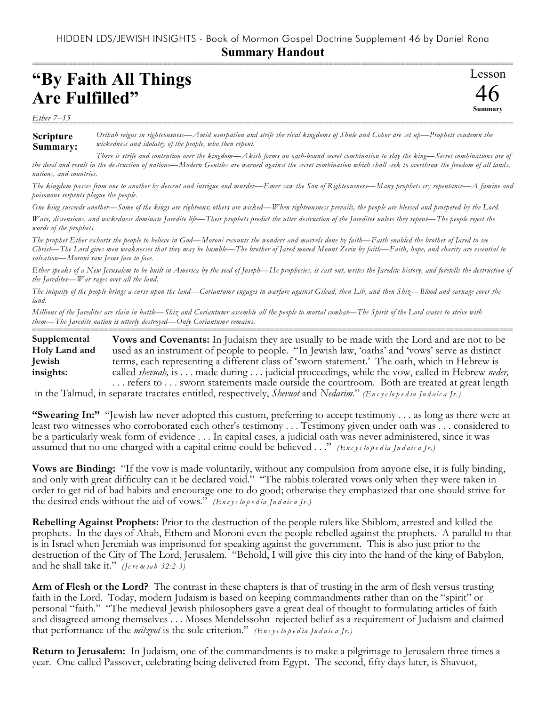## HIDDEN LDS/JEWISH INSIGHTS - Book of Mormon Gospel Doctrine Supplement 46 by Daniel Rona **Summary Handout**

===========================================================================================================

Lesson

46 **Summary**

## **"By Faith All Things Are Fulfilled"**

*Ether 7–15* ===========================================================================================================

**Scripture Summary:** *Orihah reigns in righteousness—Amid usurpation and strife the rival kingdoms of Shule and Cohor are set up—Prophets condemn the wickedness and idolatry of the people, who then repent.*

*There is strife and contention over the kingdom—Akish forms an oath-bound secret combination to slay the king—Secret combinations are of the devil and result in the destruction of nations—Modern Gentiles are warned against the secret combination which shall seek to overthrow the freedom of all lands, nations, and countries.*

*The kingdom passes from one to another by descent and intrigue and murder—Emer saw the Son of Righteousness—Many prophets cry repentance—A famine and poisonous serpents plague the people.*

*One king succeeds another—Some of the kings are righteous; others are wicked—When righteousness prevails, the people are blessed and prospered by the Lord.*

*Wars, dissensions, and wickedness dominate Jaredite life—Their prophets predict the utter destruction of the Jaredites unless they repent—The people reject the words of the prophets.*

*The prophet Ether exhorts the people to believe in God—Moroni recounts the wonders and marvels done by faith—Faith enabled the brother of Jared to see Christ—The Lord gives men weaknesses that they may be humble—The brother of Jared moved Mount Zerin by faith—Faith, hope, and charity are essential to salvation—Moroni saw Jesus face to face.*

*Ether speaks of a New Jerusalem to be built in America by the seed of Joseph—He prophesies, is cast out, writes the Jaredite history, and foretells the destruction of the Jaredites—War rages over all the land.*

*The iniquity of the people brings a curse upon the land—Coriantumr engages in warfare against Gilead, then Lib, and then Shiz—Blood and carnage cover the land.*

*Millions of the Jaredites are slain in battle—Shiz and Coriantumr assemble all the people to mortal combat—The Spirit of the Lord ceases to strive with them—The Jaredite nation is utterly destroyed—Only Coriantumr remains.*

=========================================================================================================== **Vows and Covenants:** In Judaism they are usually to be made with the Lord and are not to be used as an instrument of people to people. "In Jewish law, 'oaths' and 'vows' serve as distinct terms, each representing a different class of 'sworn statement.' The oath, which in Hebrew is called *shevuah,* is . . . made during . . . judicial proceedings, while the vow, called in Hebrew *neder,* . . . refers to . . . sworn statements made outside the courtroom. Both are treated at great length **Supplemental Holy Land and Jewish insights:**

in the Talmud, in separate tractates entitled, respectively, *Shevuot* and *Nedarim.*" (*Encyclopedia Judaica [r.)* 

**"Swearing In:"** "Jewish law never adopted this custom, preferring to accept testimony . . . as long as there were at least two witnesses who corroborated each other's testimony . . . Testimony given under oath was . . . considered to be a particularly weak form of evidence . . . In capital cases, a judicial oath was never administered, since it was assumed that no one charged with a capital crime could be believed . . ." *(En c y c lo p e d ia Ju d a ic a Jr.)*

**Vows are Binding:** "If the vow is made voluntarily, without any compulsion from anyone else, it is fully binding, and only with great difficulty can it be declared void." "The rabbis tolerated vows only when they were taken in order to get rid of bad habits and encourage one to do good; otherwise they emphasized that one should strive for the desired ends without the aid of vows." *(En c y c lo p e d ia Ju d a ic a Jr.)*

**Rebelling Against Prophets:** Prior to the destruction of the people rulers like Shiblom, arrested and killed the prophets. In the days of Ahah, Ethem and Moroni even the people rebelled against the prophets. A parallel to that is in Israel when Jeremiah was imprisoned for speaking against the government. This is also just prior to the destruction of the City of The Lord, Jerusalem. "Behold, I will give this city into the hand of the king of Babylon, and he shall take it." *(Je re m ia h 32:2-3)*

**Arm of Flesh or the Lord?** The contrast in these chapters is that of trusting in the arm of flesh versus trusting faith in the Lord. Today, modern Judaism is based on keeping commandments rather than on the "spirit" or personal "faith." "The medieval Jewish philosophers gave a great deal of thought to formulating articles of faith and disagreed among themselves . . . Moses Mendelssohn rejected belief as a requirement of Judaism and claimed that performance of the *mitzvot* is the sole criterion." *(En c y c lo p e d ia Ju d a ic a Jr.)*

**Return to Jerusalem:** In Judaism, one of the commandments is to make a pilgrimage to Jerusalem three times a year. One called Passover, celebrating being delivered from Egypt. The second, fifty days later, is Shavuot,